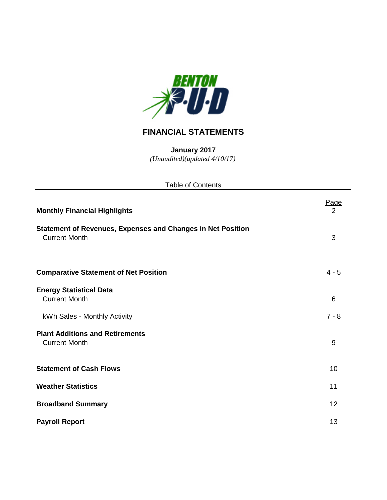

## **FINANCIAL STATEMENTS**

**January 2017** *(Unaudited)(updated 4/10/17)*

| <b>Table of Contents</b>                                                                   |                               |
|--------------------------------------------------------------------------------------------|-------------------------------|
| <b>Monthly Financial Highlights</b>                                                        | <u>Page</u><br>$\overline{2}$ |
| <b>Statement of Revenues, Expenses and Changes in Net Position</b><br><b>Current Month</b> | 3                             |
| <b>Comparative Statement of Net Position</b>                                               | $4 - 5$                       |
| <b>Energy Statistical Data</b><br><b>Current Month</b>                                     | 6                             |
| kWh Sales - Monthly Activity                                                               | $7 - 8$                       |
| <b>Plant Additions and Retirements</b><br><b>Current Month</b>                             | 9                             |
| <b>Statement of Cash Flows</b>                                                             | 10                            |
| <b>Weather Statistics</b>                                                                  | 11                            |
| <b>Broadband Summary</b>                                                                   | 12                            |
| <b>Payroll Report</b>                                                                      | 13                            |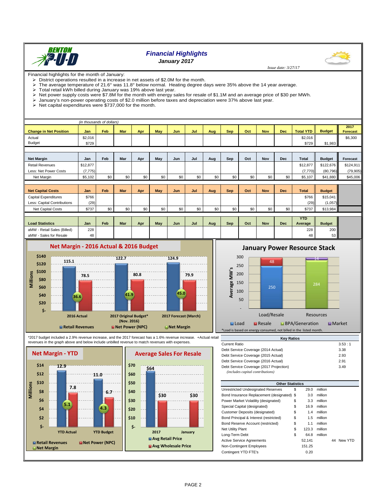

## *Financial Highlights*

*January 2017*

Financial highlights for the month of January:

- District operations resulted in a increase in net assets of \$2.0M for the month.<br>
> The average temperature of 21.6° was 11.8° below normal. Heating degree of The average temperature of 21.6° was 11.8° below normal. Heating degree days were 35% above the 14 year average.<br>> Total retail kWh billed during January was 19% above last year.
- $\triangleright$  Total retail kWh billed during January was 19% above last year.<br> $\triangleright$  Net power supply costs were \$7.8M for the month with energy s
- Net power supply costs were \$7.8M for the month with energy sales for resale of \$1.1M and an average price of \$30 per MWh.<br>> January's non-power operating costs of \$2.0 million before taxes and depreciation were 37% above
- January's non-power operating costs of \$2.0 million before taxes and depreciation were 37% above last year.
- $\triangleright$  Net capital expenditures were \$737,000 for the month.

| (in thousands of dollars)     |          |            |            |     |     |     |     |     |            |     |            |            |                       |               |                         |
|-------------------------------|----------|------------|------------|-----|-----|-----|-----|-----|------------|-----|------------|------------|-----------------------|---------------|-------------------------|
| <b>Change in Net Position</b> | Jan      | <b>Feb</b> | <b>Mar</b> | Apr | May | Jun | Jul | Aug | <b>Sep</b> | Oct | <b>Nov</b> | <b>Dec</b> | <b>Total YTD</b>      | <b>Budget</b> | 2017<br><b>Forecast</b> |
| Actual                        | \$2,016  |            |            |     |     |     |     |     |            |     |            |            | \$2,016               |               | \$6,300                 |
| Budget                        | \$729    |            |            |     |     |     |     |     |            |     |            |            | \$729                 | \$1,983       |                         |
|                               |          |            |            |     |     |     |     |     |            |     |            |            |                       |               |                         |
| <b>Net Margin</b>             | Jan      | Feb        | Mar        | Apr | May | Jun | Jul | Aug | Sep        | Oct | <b>Nov</b> | <b>Dec</b> | Total                 | <b>Budget</b> | Forecast                |
| <b>Retail Revenues</b>        | \$12,877 |            |            |     |     |     |     |     |            |     |            |            | \$12,877              | \$122,676     | \$124,911               |
| Less: Net Power Costs         | (7, 775) |            |            |     |     |     |     |     |            |     |            |            | (7,770)               | (80, 796)     | (79,905)                |
| Net Margin                    | \$5,102  | \$0        | \$0        | \$0 | \$0 | \$0 | \$0 | \$0 | \$0        | \$0 | \$0        | \$0        | \$5,107               | \$41,880      | \$45,006                |
|                               |          |            |            |     |     |     |     |     |            |     |            |            |                       |               |                         |
| <b>Net Capital Costs</b>      | Jan      | Feb        | <b>Mar</b> | Apr | May | Jun | Jul | Aug | <b>Sep</b> | Oct | <b>Nov</b> | <b>Dec</b> | Total                 | <b>Budget</b> |                         |
| <b>Capital Expenditures</b>   | \$766    |            |            |     |     |     |     |     |            |     |            |            | \$766                 | \$15,041      |                         |
| Less: Capital Contributions   | (29)     |            |            |     |     |     |     |     |            |     |            |            | (29)                  | (1,057)       |                         |
| Net Capital Costs             | \$737    | \$0        | \$0        | \$0 | \$0 | \$0 | \$0 | \$0 | \$0        | \$0 | \$0        | \$0        | \$737                 | \$13,984      |                         |
|                               |          |            |            |     |     |     |     |     |            |     |            |            |                       |               |                         |
| <b>Load Statistics</b>        | Jan      | Feb        | <b>Mar</b> | Apr | May | Jun | Jul | Aug | Sep        | Oct | <b>Nov</b> | <b>Dec</b> | <b>YTD</b><br>Average | <b>Budget</b> |                         |
| aMW - Retail Sales (Billed)   | 228      |            |            |     |     |     |     |     |            |     |            |            | 228                   | 200           |                         |
| aMW - Sales for Resale        | 48       |            |            |     |     |     |     |     |            |     |            |            | 48                    | 53            |                         |



### Average MW's **Average MW's** 150 250

 200 250



\*2017 budget included a 2.9% revenue increase, and the 2017 forecast has a 1.6% revenue increase. +Actual retail revenues in the graph above and below include unbilled revenue to match revenues with expenses.





| <b>Other Statistics</b>                    |    |        |         |    |         |
|--------------------------------------------|----|--------|---------|----|---------|
|                                            |    |        |         |    |         |
| <b>Unrestricted Undesignated Reserves</b>  | S  | 29.0   | million |    |         |
| Bond Insurance Replacement (designated) \$ |    | 3.0    | million |    |         |
| Power Market Volatility (designated)       | \$ | 3.3    | million |    |         |
| Special Capital (designated)               | S  | 16.9   | million |    |         |
| <b>Customer Deposits (designated)</b>      | \$ | 1.4    | million |    |         |
| Bond Principal & Interest (restricted)     | \$ | 1.5    | million |    |         |
| Bond Reserve Account (restricted)          | \$ | 1.1    | million |    |         |
| <b>Net Utility Plant</b>                   | \$ | 123.3  | million |    |         |
| Long-Term Debt                             | S  | 64.8   | million |    |         |
| <b>Active Service Agreements</b>           |    | 52,141 |         | 44 | New YTD |
| Non-Contingent Employees                   |    | 151.25 |         |    |         |
| Contingent YTD FTE's                       |    | 0.20   |         |    |         |

#### 14 300 **January Power Resource Stack**

 $\overline{48}$ 

 *Issue date: 3/27/17*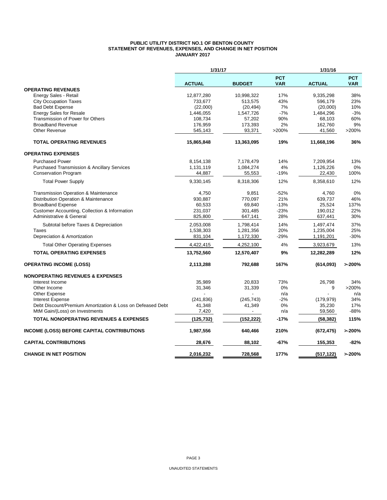#### **PUBLIC UTILITY DISTRICT NO.1 OF BENTON COUNTY STATEMENT OF REVENUES, EXPENSES, AND CHANGE IN NET POSITION JANUARY 2017**

|                                                            | 1/31/17       |               |                          | 1/31/16       |                          |  |  |
|------------------------------------------------------------|---------------|---------------|--------------------------|---------------|--------------------------|--|--|
|                                                            | <b>ACTUAL</b> | <b>BUDGET</b> | <b>PCT</b><br><b>VAR</b> | <b>ACTUAL</b> | <b>PCT</b><br><b>VAR</b> |  |  |
| <b>OPERATING REVENUES</b>                                  |               |               |                          |               |                          |  |  |
| Energy Sales - Retail                                      | 12,877,280    | 10,998,322    | 17%                      | 9,335,298     | 38%                      |  |  |
| <b>City Occupation Taxes</b>                               | 733,677       | 513,575       | 43%                      | 596,179       | 23%                      |  |  |
| <b>Bad Debt Expense</b>                                    | (22,000)      | (20, 494)     | 7%                       | (20,000)      | 10%                      |  |  |
| <b>Energy Sales for Resale</b>                             | 1,446,055     | 1,547,726     | $-7%$                    | 1,484,296     | $-3%$                    |  |  |
| Transmission of Power for Others                           | 108,734       | 57,202        | 90%                      | 68,103        | 60%                      |  |  |
| <b>Broadband Revenue</b>                                   | 176,959       | 173,393       | 2%                       | 162,760       | 9%                       |  |  |
| <b>Other Revenue</b>                                       | 545,143       | 93,371        | >200%                    | 41,560        | >200%                    |  |  |
| <b>TOTAL OPERATING REVENUES</b>                            | 15,865,848    | 13,363,095    | 19%                      | 11,668,196    | 36%                      |  |  |
| <b>OPERATING EXPENSES</b>                                  |               |               |                          |               |                          |  |  |
| <b>Purchased Power</b>                                     | 8,154,138     | 7,178,479     | 14%                      | 7,209,954     | 13%                      |  |  |
| <b>Purchased Transmission &amp; Ancillary Services</b>     | 1,131,119     | 1,084,274     | 4%                       | 1,126,226     | 0%                       |  |  |
| <b>Conservation Program</b>                                | 44,887        | 55,553        | $-19%$                   | 22,430        | 100%                     |  |  |
| <b>Total Power Supply</b>                                  | 9,330,145     | 8,318,306     | 12%                      | 8,358,610     | 12%                      |  |  |
| Transmission Operation & Maintenance                       | 4,750         | 9,851         | $-52%$                   | 4,760         | 0%                       |  |  |
| Distribution Operation & Maintenance                       | 930,887       | 770,097       | 21%                      | 639,737       | 46%                      |  |  |
| <b>Broadband Expense</b>                                   | 60,533        | 69,840        | $-13%$                   | 25,524        | 137%                     |  |  |
| Customer Accounting, Collection & Information              | 231,037       | 301,485       | $-23%$                   | 190,012       | 22%                      |  |  |
| Administrative & General                                   | 825,800       | 647,141       | 28%                      | 637,441       | 30%                      |  |  |
| Subtotal before Taxes & Depreciation                       | 2,053,008     | 1,798,414     | 14%                      | 1,497,474     | 37%                      |  |  |
| <b>Taxes</b>                                               | 1,538,303     | 1,281,356     | 20%                      | 1,235,004     | 25%                      |  |  |
| Depreciation & Amortization                                | 831,104       | 1,172,330     | -29%                     | 1,191,201     | -30%                     |  |  |
| <b>Total Other Operating Expenses</b>                      | 4,422,415     | 4,252,100     | 4%                       | 3,923,679     | 13%                      |  |  |
| <b>TOTAL OPERATING EXPENSES</b>                            | 13,752,560    | 12,570,407    | 9%                       | 12,282,289    | 12%                      |  |  |
| <b>OPERATING INCOME (LOSS)</b>                             | 2,113,288     | 792,688       | 167%                     | (614, 093)    | >200%                    |  |  |
| <b>NONOPERATING REVENUES &amp; EXPENSES</b>                |               |               |                          |               |                          |  |  |
| Interest Income                                            | 35.989        | 20.833        | 73%                      | 26.798        | 34%                      |  |  |
| Other Income                                               | 31,346        | 31,339        | 0%                       | 9             | >200%                    |  |  |
| Other Expense                                              |               |               | n/a                      |               | n/a                      |  |  |
| <b>Interest Expense</b>                                    | (241, 836)    | (245, 743)    | $-2%$                    | (179, 979)    | 34%                      |  |  |
| Debt Discount/Premium Amortization & Loss on Defeased Debt | 41,348        | 41,349        | 0%                       | 35,230        | 17%                      |  |  |
| MtM Gain/(Loss) on Investments                             | 7,420         |               | n/a                      | 59,560        | $-88%$                   |  |  |
| <b>TOTAL NONOPERATING REVENUES &amp; EXPENSES</b>          | (125, 732)    | (152, 222)    | $-17%$                   | (58, 382)     | 115%                     |  |  |
| <b>INCOME (LOSS) BEFORE CAPITAL CONTRIBUTIONS</b>          | 1,987,556     | 640,466       | 210%                     | (672, 475)    | >200%                    |  |  |
| <b>CAPITAL CONTRIBUTIONS</b>                               | 28,676        | 88,102        | -67%                     | 155,353       | -82%                     |  |  |
| <b>CHANGE IN NET POSITION</b>                              | 2,016,232     | 728.568       | 177%                     | (517, 122)    | >200%                    |  |  |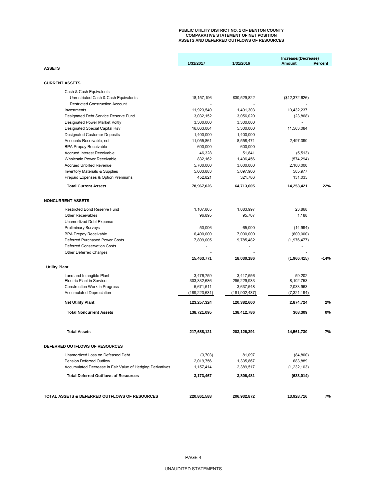#### **PUBLIC UTILITY DISTRICT NO. 1 OF BENTON COUNTY COMPARATIVE STATEMENT OF NET POSITION ASSETS AND DEFERRED OUTFLOWS OF RESOURCES**

|                                                           |                 |               | Increase/(Decrease) |         |  |
|-----------------------------------------------------------|-----------------|---------------|---------------------|---------|--|
|                                                           | 1/31/2017       | 1/31/2016     | Amount              | Percent |  |
| <b>ASSETS</b>                                             |                 |               |                     |         |  |
|                                                           |                 |               |                     |         |  |
| <b>CURRENT ASSETS</b>                                     |                 |               |                     |         |  |
| Cash & Cash Equivalents                                   |                 |               |                     |         |  |
| Unrestricted Cash & Cash Equivalents                      | 18, 157, 196    | \$30,529,822  | (\$12,372,626)      |         |  |
| <b>Restricted Construction Account</b>                    |                 |               |                     |         |  |
| Investments                                               | 11,923,540      | 1,491,303     | 10,432,237          |         |  |
| Designated Debt Service Reserve Fund                      | 3,032,152       | 3,056,020     | (23, 868)           |         |  |
| <b>Designated Power Market Voltly</b>                     | 3,300,000       | 3,300,000     |                     |         |  |
| Designated Special Capital Rsv                            | 16,863,084      | 5,300,000     | 11,563,084          |         |  |
| <b>Designated Customer Deposits</b>                       | 1,400,000       | 1,400,000     |                     |         |  |
| Accounts Receivable, net                                  | 11,055,861      | 8,558,471     | 2,497,390           |         |  |
| <b>BPA Prepay Receivable</b>                              | 600,000         | 600,000       | ÷                   |         |  |
| Accrued Interest Receivable                               | 46,328          | 51,841        | (5, 513)            |         |  |
| <b>Wholesale Power Receivable</b>                         | 832,162         | 1,406,456     | (574, 294)          |         |  |
| <b>Accrued Unbilled Revenue</b>                           | 5,700,000       | 3,600,000     | 2,100,000           |         |  |
| <b>Inventory Materials &amp; Supplies</b>                 | 5,603,883       | 5,097,906     | 505,977             |         |  |
| Prepaid Expenses & Option Premiums                        | 452,821         | 321,786       | 131,035             |         |  |
| <b>Total Current Assets</b>                               | 78,967,026      | 64,713,605    | 14,253,421          | 22%     |  |
|                                                           |                 |               |                     |         |  |
| <b>NONCURRENT ASSETS</b>                                  |                 |               |                     |         |  |
| <b>Restricted Bond Reserve Fund</b>                       | 1,107,865       | 1,083,997     | 23,868              |         |  |
| <b>Other Receivables</b>                                  | 96,895          | 95,707        | 1,188               |         |  |
| Unamortized Debt Expense                                  |                 |               |                     |         |  |
| <b>Preliminary Surveys</b>                                | 50,006          | 65,000        | (14, 994)           |         |  |
| <b>BPA Prepay Receivable</b>                              | 6,400,000       | 7,000,000     | (600,000)           |         |  |
| Deferred Purchased Power Costs                            | 7,809,005       | 9,785,482     | (1,976,477)         |         |  |
| <b>Deferred Conservation Costs</b>                        |                 |               |                     |         |  |
| Other Deferred Charges                                    |                 |               |                     |         |  |
|                                                           | 15,463,771      | 18,030,186    | (1,966,415)         | $-14%$  |  |
| <b>Utility Plant</b>                                      |                 |               |                     |         |  |
|                                                           |                 |               |                     |         |  |
| Land and Intangible Plant                                 | 3,476,759       | 3,417,556     | 59,202              |         |  |
| <b>Electric Plant in Service</b>                          | 303,332,686     | 295,229,933   | 8,102,753           |         |  |
| <b>Construction Work in Progress</b>                      | 5,671,511       | 3,637,548     | 2,033,963           |         |  |
| <b>Accumulated Depreciation</b>                           | (189, 223, 631) | (181,902,437) | (7,321,194)         |         |  |
| <b>Net Utility Plant</b>                                  | 123,257,324     | 120,382,600   | 2,874,724           | 2%      |  |
| <b>Total Noncurrent Assets</b>                            | 138,721,095     | 138,412,786   | 308,309             | 0%      |  |
| <b>Total Assets</b>                                       | 217,688,121     | 203,126,391   | 14,561,730          | 7%      |  |
|                                                           |                 |               |                     |         |  |
| DEFERRED OUTFLOWS OF RESOURCES                            |                 |               |                     |         |  |
| Unamortized Loss on Defeased Debt                         | (3,703)         | 81,097        | (84, 800)           |         |  |
| Pension Deferred Outflow                                  | 2,019,756       | 1,335,867     | 683,889             |         |  |
| Accumulated Decrease in Fair Value of Hedging Derivatives | 1,157,414       | 2,389,517     | (1, 232, 103)       |         |  |
| <b>Total Deferred Outflows of Resources</b>               | 3,173,467       | 3,806,481     | (633, 014)          |         |  |
|                                                           |                 |               |                     |         |  |
| TOTAL ASSETS & DEFERRED OUTFLOWS OF RESOURCES             | 220,861,588     | 206,932,872   | 13,928,716          | 7%      |  |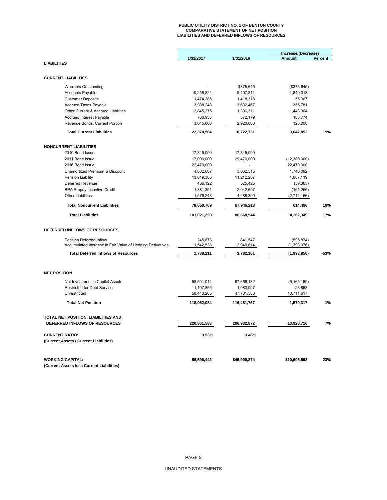# **PUBLIC UTILITY DISTRICT NO. 1 OF BENTON COUNTY COMPARATIVE STATEMENT OF NET POSITION LIABILITIES AND DEFERRED INFLOWS OF RESOURCES**

|                                                           |             |              | Increase/(Decrease) |         |  |
|-----------------------------------------------------------|-------------|--------------|---------------------|---------|--|
|                                                           | 1/31/2017   | 1/31/2016    | Amount              | Percent |  |
| <b>LIABILITIES</b>                                        |             |              |                     |         |  |
|                                                           |             |              |                     |         |  |
| <b>CURRENT LIABILITIES</b>                                |             |              |                     |         |  |
| <b>Warrants Outstanding</b>                               |             | \$375,645    | (\$375,645)         |         |  |
| <b>Accounts Payable</b>                                   | 10,256,824  | 8,407,811    | 1,849,013           |         |  |
| <b>Customer Deposits</b>                                  | 1,474,285   | 1,418,318    | 55,967              |         |  |
| <b>Accrued Taxes Payable</b>                              | 3,988,248   | 3,632,467    | 355,781             |         |  |
| Other Current & Accrued Liabilities                       | 2,845,275   | 1,396,311    | 1,448,964           |         |  |
| Accrued Interest Payable                                  | 760,953     | 572,179      | 188,774             |         |  |
| Revenue Bonds, Current Portion                            | 3,045,000   | 2,920,000    | 125,000             |         |  |
| <b>Total Current Liabilities</b>                          | 22,370,584  | 18,722,731   | 3,647,853           | 19%     |  |
| <b>NONCURRENT LIABILITIES</b>                             |             |              |                     |         |  |
| 2010 Bond Issue                                           | 17,345,000  | 17,345,000   |                     |         |  |
| 2011 Bond Issue                                           | 17,090,000  | 29,470,000   | (12,380,000)        |         |  |
| 2016 Bond Issue                                           | 22,470,000  |              | 22,470,000          |         |  |
| Unamortized Premium & Discount                            | 4,802,607   | 3,062,515    | 1,740,092           |         |  |
| Pension Liability                                         | 13,019,386  | 11,212,267   | 1,807,119           |         |  |
| Deferred Revenue                                          | 466,122     | 525,425      | (59, 303)           |         |  |
| <b>BPA Prepay Incentive Credit</b>                        | 1,881,351   | 2,042,607    | (161, 256)          |         |  |
| <b>Other Liabilities</b>                                  | 1,576,243   | 4,288,399    | (2,712,156)         |         |  |
| <b>Total Noncurrent Liabilities</b>                       | 78,650,709  | 67,946,213   | 614,496             | 16%     |  |
| <b>Total Liabilities</b>                                  | 101,021,293 | 86,668,944   | 4,262,349           | 17%     |  |
| DEFERRED INFLOWS OF RESOURCES                             |             |              |                     |         |  |
| Pension Deferred Inflow                                   | 245,673     | 841,547      | (595, 874)          |         |  |
| Accumulated Increase in Fair Value of Hedging Derivatives | 1,542,538   | 2,940,614    | (1,398,076)         |         |  |
| <b>Total Deferred Inflows of Resources</b>                | 1,788,211   | 3,782,161    | (1,993,950)         | $-53%$  |  |
| <b>NET POSITION</b>                                       |             |              |                     |         |  |
|                                                           |             |              |                     |         |  |
| Net Investment in Capital Assets                          | 58,501,014  | 67,666,182   | (9, 165, 169)       |         |  |
| <b>Restricted for Debt Service</b>                        | 1,107,865   | 1,083,997    | 23,868              |         |  |
| Unrestricted                                              | 58,443,205  | 47,731,588   | 10,711,617          |         |  |
| <b>Total Net Position</b>                                 | 118,052,084 | 116,481,767  | 1,570,317           | 1%      |  |
| TOTAL NET POSITION, LIABILITIES AND                       |             |              |                     |         |  |
| DEFERRED INFLOWS OF RESOURCES                             | 220,861,588 | 206,932,872  | 13,928,716          | 7%      |  |
| <b>CURRENT RATIO:</b>                                     | 3.53:1      | 3.46:1       |                     |         |  |
| (Current Assets / Current Liabilities)                    |             |              |                     |         |  |
| <b>WORKING CAPITAL:</b>                                   | 56,596,442  | \$45,990,874 | \$10,605,568        | 23%     |  |
| (Current Assets less Current Liabilities)                 |             |              |                     |         |  |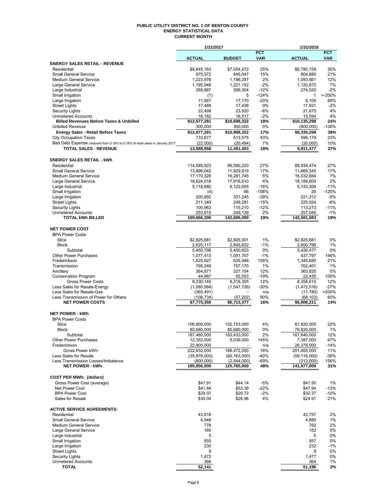#### **PUBLIC UTILITY DISTRICT NO. 1 OF BENTON COUNTY ENERGY STATISTICAL DATA CURRENT MONTH**

|                                                                                 | 1/31/2017                 |                               |                          | 1/31/2016                   |                          |
|---------------------------------------------------------------------------------|---------------------------|-------------------------------|--------------------------|-----------------------------|--------------------------|
|                                                                                 | <b>ACTUAL</b>             | <b>BUDGET</b>                 | <b>PCT</b><br><b>VAR</b> | <b>ACTUAL</b>               | <b>PCT</b><br><b>VAR</b> |
| <b>ENERGY SALES RETAIL - REVENUE</b>                                            |                           |                               |                          |                             |                          |
| Residential                                                                     | \$8,845,163               | \$7,054,472                   | 25%                      | \$6,780,159                 | 30%                      |
| <b>Small General Service</b>                                                    | 975,572                   | 845,047                       | 15%                      | 804,880                     | 21%                      |
| <b>Medium General Service</b>                                                   | 1,223,976                 | 1,196,297                     | 2%                       | 1,093,561                   | 12%                      |
| Large General Service<br>Large Industrial                                       | 1,195,948<br>268,887      | 1,221,152<br>306,304          | $-2%$<br>$-12%$          | 1,120,872<br>274.520        | 7%<br>$-2%$              |
| Small Irrigation                                                                | (1)                       | 5                             | $-124%$                  | $\mathbf{1}$                | $> -200%$                |
| Large Irrigation                                                                | 11,567                    | 17,170                        | $-33%$                   | 6,105                       | 89%                      |
| <b>Street Lights</b>                                                            | 17,489                    | 17,438                        | 0%                       | 17,931                      | $-2%$                    |
| <b>Security Lights</b>                                                          | 22,498                    | 23,920                        | -6%                      | 21,675                      | 4%                       |
| <b>Unmetered Accounts</b><br><b>Billed Revenues Before Taxes &amp; Unbilled</b> | 16,182                    | 16,517                        | $-2%$                    | 15,594<br>\$10,135,298      | 4%<br>24%                |
| <b>Unbilled Revenue</b>                                                         | \$12,577,281<br>300,000   | \$10,698,322<br>300,000       | 18%<br>0%                | (800,000)                   | $-138%$                  |
| <b>Energy Sales - Retail Before Taxes</b>                                       | \$12,877,281              | \$10,998,322                  | 17%                      | \$9,335,298                 | 38%                      |
| <b>City Occupation Taxes</b>                                                    | 733,677                   | 513,575                       | 43%                      | 596,179                     | 23%                      |
| Bad Debt Expense (reduced from 0.18% to 0.16% of retail sales in January 2017)  | (22,000)                  | (20, 494)                     | 7%                       | (20,000)                    | 10%                      |
| <b>TOTAL SALES - REVENUE</b>                                                    | 13,588,958                | 11,491,403                    | 18%                      | 9,911,477                   | 37%                      |
|                                                                                 |                           |                               |                          |                             |                          |
| <b>ENERGY SALES RETAIL - kWh</b>                                                |                           |                               |                          |                             |                          |
| Residential                                                                     | 114,089,923               | 89,590,220                    | 27%                      | 89,934,474                  | 27%                      |
| <b>Small General Service</b><br><b>Medium General Service</b>                   | 13,896,042<br>17,170,328  | 11,829,919<br>16,281,745      | 17%<br>5%                | 11,865,345<br>16,032,684    | 17%<br>7%                |
| Large General Service                                                           | 18,624,018                | 17,916,610                    | 4%                       | 18,188,600                  | 2%                       |
| Large Industrial                                                                | 5,118,880                 | 6,122,655                     | $-16%$                   | 5,743,306                   | $-11%$                   |
| Small Irrigation                                                                | (4)                       | 66                            | $-106%$                  | 20                          | $-120%$                  |
| Large Irrigation                                                                | 200,892                   | 331,245                       | $-39%$                   | 221,312                     | $-9%$                    |
| <b>Street Lights</b>                                                            | 211,349                   | 249,281                       | $-15%$                   | 225,024                     | $-6%$                    |
| <b>Security Lights</b><br><b>Unmetered Accounts</b>                             | 100,963<br>253,915        | 115,210<br>249,139            | $-12%$<br>2%             | 113,273<br>257,045          | $-11%$<br>$-1%$          |
| <b>TOTAL kWh BILLED</b>                                                         | 169,666,306               | 142,686,090                   | 19%                      | 142,581,083                 | 19%                      |
|                                                                                 |                           |                               |                          |                             |                          |
| <b>NET POWER COST</b>                                                           |                           |                               |                          |                             |                          |
| <b>BPA Power Costs</b>                                                          |                           |                               |                          |                             |                          |
| Slice                                                                           | \$2,825,681               | \$2,805,001                   | 1%                       | \$2,825,681                 | 0%                       |
| <b>Block</b><br>Subtotal                                                        | 2,625,117<br>5,450,798    | 2,645,822<br>5,450,823        | $-1%$<br>0%              | 2,600,796<br>5,426,477      | 1%<br>0%                 |
| <b>Other Power Purchases</b>                                                    | 1,077,413                 | 1,091,707                     | $-1%$                    | 437,797                     | 146%                     |
| Frederickson                                                                    | 1,625,927                 | 635,948                       | 156%                     | 1,345,680                   | 21%                      |
| Transmission                                                                    | 766,249                   | 757,170                       | 1%                       | 762,401                     | 1%                       |
| Ancillary                                                                       | 364,871                   | 327,104                       | 12%                      | 363,825                     | 0%                       |
| <b>Conservation Program</b>                                                     | 44,887                    | 55,553                        | $-19%$                   | 22,430                      | 100%                     |
| <b>Gross Power Costs</b>                                                        | 9,330,145                 | 8,318,305                     | 12%                      | 8,358,610                   | 12%                      |
| Less Sales for Resale-Energy<br>Less Sales for Resale-Gas                       | (1,080,564)<br>(365, 491) | (1,547,726)                   | $-30%$<br>n/a            | (1,472,516)<br>(11,780)     | $-27%$<br>>200%          |
| Less Transmission of Power for Others                                           | (108, 734)                | (57, 202)                     | 90%                      | (68, 103)                   | 60%                      |
| <b>NET POWER COSTS</b>                                                          | \$7,775,356               | \$6,713,377                   | 16%                      | \$6,806,211                 | 14%                      |
|                                                                                 |                           |                               |                          |                             |                          |
| <b>NET POWER - kWh</b>                                                          |                           |                               |                          |                             |                          |
| <b>BPA Power Costs</b><br>Slice                                                 | 106.800.000               | 102.753.000                   | 4%                       | 87,820,000                  | 22%                      |
| RIOCK                                                                           | 80,680,000                | 80,680,000                    | 0%                       | 79,820,000                  | 1%                       |
| Subtotal                                                                        | 187,480,000               | 183,433,000                   | 2%                       | 167,640,000                 | 12%                      |
| Other Power Purchases                                                           | 12,352,000                | 5,039,000                     | 145%                     | 7,387,000                   | 67%                      |
| Frederickson                                                                    | 22,800,000                |                               | n/a                      | 26,378,000                  | $-14%$                   |
| Gross Power kWh                                                                 | 222,632,000               | 188,472,000                   | 18%                      | 201,405,000                 | 11%                      |
| Less Sales for Resale<br>Less Transmission Losses/Imbalance                     | (35,976,000)<br>(800,000) | (60, 163, 000)<br>(2,544,000) | -40%<br>$-69%$           | (59, 116, 000)<br>(312,000) | $-39%$<br>156%           |
| <b>NET POWER - kWh</b>                                                          | 185,856,000               | 125,765,000                   | 48%                      | 141,977,000                 | 31%                      |
|                                                                                 |                           |                               |                          |                             |                          |
| <b>COST PER MWh: (dollars)</b>                                                  |                           |                               |                          |                             |                          |
| Gross Power Cost (average)                                                      | \$41.91                   | \$44.14                       | -5%                      | \$41.50                     | 1%                       |
| Net Power Cost                                                                  | \$41.84                   | \$53.38                       | $-22%$                   | \$47.94                     | $-13%$                   |
| <b>BPA Power Cost</b><br>Sales for Resale                                       | \$29.07                   | \$29.72                       | $-2%$                    | \$32.37                     | $-10%$                   |
|                                                                                 | \$30.04                   | \$28.96                       | 4%                       | \$24.91                     | 21%                      |
| <b>ACTIVE SERVICE AGREEMENTS:</b>                                               |                           |                               |                          |                             |                          |
| Residential                                                                     | 43,618                    |                               |                          | 42,757                      | 2%                       |
| <b>Small General Service</b>                                                    | 4,948                     |                               |                          | 4,880                       | 1%                       |
| <b>Medium General Service</b>                                                   | 778                       |                               |                          | 762                         | 2%                       |
| Large General Service                                                           | 160                       |                               |                          | 153                         | 5%                       |
| Large Industrial<br>Small Irrigation                                            | 5<br>555                  |                               |                          | 5<br>557                    | 0%<br>0%                 |
| Large Irrigation                                                                | 230                       |                               |                          | 232                         | -1%                      |
| <b>Street Lights</b>                                                            | 9                         |                               |                          | 9                           | 0%                       |
| <b>Security Lights</b>                                                          | 1,472                     |                               |                          | 1,477                       | 0%                       |
| <b>Unmetered Accounts</b>                                                       | 366                       |                               |                          | 364                         | 1%                       |
| <b>TOTAL</b>                                                                    | 52,141                    |                               |                          | 51,196                      | 2%                       |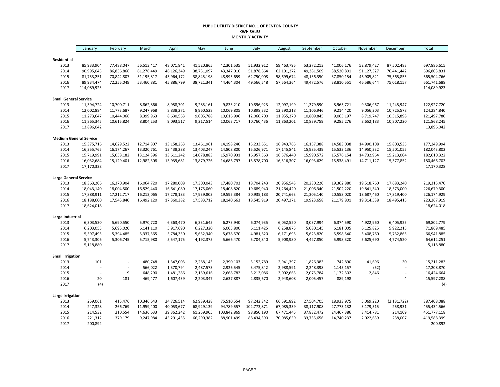#### **PUBLIC UTILITY DISTRICT NO. 1 OF BENTON COUNTY KWH SALES MONTHLY ACTIVITY**

|                               | January     | February   | March      | April      | May        | June        | July        | August     | September  | October    | November   | December       | <b>Total</b> |
|-------------------------------|-------------|------------|------------|------------|------------|-------------|-------------|------------|------------|------------|------------|----------------|--------------|
| Residential                   |             |            |            |            |            |             |             |            |            |            |            |                |              |
| 2013                          | 85,933,904  | 77,488,047 | 56,513,417 | 48,071,841 | 41,520,865 | 42,301,535  | 51,932,912  | 59,463,795 | 53,272,213 | 41,006,176 | 52,879,427 | 87,502,483     | 697,886,615  |
| 2014                          | 90,995,045  | 86,856,866 | 61,276,449 | 46,126,349 | 38,751,097 | 43,347,010  | 51,878,664  | 62,101,272 | 49,381,509 | 38,520,801 | 51,127,327 | 76,441,442     | 696,803,831  |
| 2015                          | 81,753,251  | 70,842,807 | 51,195,817 | 43,964,172 | 38,845,198 | 48,995,659  | 62,750,008  | 58,699,674 | 48,136,350 | 37,850,154 | 46,905,821 | 75,565,855     | 665,504,766  |
| 2016                          | 89,934,474  | 72,255,049 | 53,460,881 | 45,886,799 | 38,721,341 | 44,464,304  | 49,566,548  | 57,564,364 | 49,472,576 | 38,810,551 | 46,586,644 | 75,018,157     | 661,741,688  |
| 2017                          | 114,089,923 |            |            |            |            |             |             |            |            |            |            |                | 114,089,923  |
| <b>Small General Service</b>  |             |            |            |            |            |             |             |            |            |            |            |                |              |
| 2013                          | 11,394,724  | 10,700,711 | 8,862,866  | 8,958,701  | 9,285,161  | 9,833,210   | 10,896,923  | 12,097,199 | 11,379,590 | 8,965,721  | 9,306,967  | 11,245,947     | 122,927,720  |
| 2014                          | 12,002,884  | 11,773,687 | 9,247,968  | 8,838,271  | 8,960,528  | 10,069,805  | 10,898,332  | 12,390,218 | 11,106,946 | 9,214,420  | 9,056,203  | 10,725,578     | 124,284,840  |
| 2015                          | 11,273,647  | 10,444,066 | 8,399,963  | 8,630,563  | 9,005,788  | 10,616,996  | 12,060,700  | 11,955,370 | 10,809,845 | 9,065,197  | 8,719,747  | 10,515,898     | 121,497,780  |
| 2016                          | 11,865,345  | 10,615,824 | 8,804,253  | 9,093,517  | 9,217,514  | 10,063,717  | 10,760,436  | 11,863,201 | 10,839,759 | 9,285,276  | 8,652,183  | 10,807,220     | 121,868,245  |
| 2017                          | 13,896,042  |            |            |            |            |             |             |            |            |            |            |                | 13,896,042   |
| <b>Medium General Service</b> |             |            |            |            |            |             |             |            |            |            |            |                |              |
| 2013                          | 15,375,716  | 14,629,522 | 12,714,807 | 13,158,263 | 13,461,961 | 14,198,240  | 15,233,651  | 16,943,765 | 16,157,388 | 14,583,038 | 14,990,108 | 15,803,535     | 177,249,994  |
| 2014                          | 16,255,765  | 16,174,267 | 13,320,761 | 13,438,288 | 13,403,247 | 14,808,800  | 15,526,971  | 17,145,841 | 15,985,439 | 15,533,136 | 14,950,232 | 15,501,055     | 182,043,802  |
| 2015                          | 15,719,991  | 15,058,182 | 13,124,396 | 13,611,242 | 14,078,883 | 15,970,931  | 16,957,563  | 16,576,440 | 15,990,572 | 15,576,154 | 14,732,964 | 15,213,004     | 182,610,322  |
| 2016                          | 16,032,684  | 15,129,401 | 12,982,308 | 13,939,681 | 13,879,726 | 14,686,797  | 15,578,700  | 16,516,307 | 16,093,629 | 15,538,491 | 14,711,127 | 15,377,852     | 180,466,703  |
| 2017                          | 17,170,328  |            |            |            |            |             |             |            |            |            |            |                | 17,170,328   |
| <b>Large General Service</b>  |             |            |            |            |            |             |             |            |            |            |            |                |              |
| 2013                          | 18,363,206  | 16,370,904 | 16,064,720 | 17,280,008 | 17,300,043 | 17,480,703  | 18,704,243  | 20,956,543 | 20,230,220 | 19,362,880 | 19,518,760 | 17,683,240     | 219,315,470  |
| 2014                          | 18,043,140  | 18,004,500 | 16,529,440 | 16,641,080 | 17,175,060 | 18,408,820  | 19,689,940  | 21,264,420 | 21,006,340 | 21,502,220 | 19,841,340 | 18,573,000     | 226,679,300  |
| 2015                          | 17,888,911  | 17,212,717 | 16,213,065 | 17,278,183 | 17,939,803 | 19,595,384  | 20,935,183  | 20,741,663 | 21,305,140 | 20,558,020 | 18,687,460 | 17,819,400     | 226,174,929  |
| 2016                          | 18,188,600  | 17,545,840 | 16,492,120 | 17,360,382 | 17,583,712 | 18,140,663  | 18,545,919  | 20,497,271 | 19,923,658 | 21,179,801 | 19,314,538 | 18,495,415     | 223,267,919  |
| 2017                          | 18,624,018  |            |            |            |            |             |             |            |            |            |            |                | 18,624,018   |
| Large Industrial              |             |            |            |            |            |             |             |            |            |            |            |                |              |
| 2013                          | 6,303,530   | 5,690,550  | 5,970,720  | 6,363,470  | 6,331,645  | 6,273,940   | 6,074,935   | 6,052,520  | 3,037,994  | 6,374,590  | 4,922,960  | 6,405,925      | 69,802,779   |
| 2014                          | 6,203,055   | 5,695,020  | 6,141,110  | 5,917,690  | 6,227,320  | 6,005,800   | 6,111,425   | 6,258,875  | 5,080,145  | 6,181,005  | 6,125,825  | 5,922,215      | 71,869,485   |
| 2015                          | 5,597,495   | 5,394,485  | 5,337,365  | 5,784,330  | 5,632,340  | 5,678,570   | 4,981,620   | 6,171,695  | 5,623,820  | 5,598,540  | 5,408,760  | 5,732,865      | 66,941,885   |
| 2016                          | 5,743,306   | 5,306,745  | 5,715,980  | 5,547,175  | 4,192,375  | 5,666,470   | 5,704,840   | 5,908,980  | 4,427,850  | 5,998,320  | 5,625,690  | 4,774,520      | 64,612,251   |
| 2017                          | 5,118,880   |            |            |            |            |             |             |            |            |            |            |                | 5,118,880    |
| <b>Small Irrigation</b>       |             |            |            |            |            |             |             |            |            |            |            |                |              |
| 2013                          | 101         |            | 480,748    | 1,347,003  | 2,288,143  | 2,390,103   | 3,152,789   | 2,941,397  | 1,826,383  | 742,890    | 41,696     | 30             | 15,211,283   |
| 2014                          | ÷,          |            | 566,022    | 1,370,794  | 2,487,573  | 2,926,545   | 3,475,842   | 2,988,591  | 2,248,398  | 1,145,157  | (52)       |                | 17,208,870   |
| 2015                          | ÷,          | 9          | 648,290    | 1,481,286  | 2,159,616  | 2,668,782   | 3,213,086   | 3,002,663  | 2,075,784  | 1,172,302  | 2,846      | $\overline{a}$ | 16,424,664   |
| 2016                          | 20          | 181        | 469,477    | 1,607,439  | 2,203,347  | 2,637,887   | 2,835,670   | 2,948,608  | 2,005,457  | 889,198    |            | $\sqrt{4}$     | 15,597,288   |
| 2017                          | (4)         |            |            |            |            |             |             |            |            |            |            |                | (4)          |
| <b>Large Irrigation</b>       |             |            |            |            |            |             |             |            |            |            |            |                |              |
| 2013                          | 259,061     | 415,476    | 10,346,643 | 24,726,514 | 62,939,428 | 75,510,554  | 97,242,342  | 66,591,892 | 27,504,705 | 18,933,975 | 5,069,220  | (2, 131, 722)  | 387,408,088  |
| 2014                          | 247,328     | 266,769    | 11,959,400 | 40,053,677 | 68,929,139 | 94,789,557  | 102,773,871 | 67,085,339 | 38,117,908 | 27,773,132 | 3,179,515  | 258,931        | 455,434,566  |
| 2015                          | 214,532     | 210,554    | 14,636,633 | 39,362,242 | 61,259,905 | 103,842,869 | 98,850,190  | 67,471,445 | 37,832,472 | 24,467,386 | 3,414,781  | 214,109        | 451,777,118  |
| 2016                          | 221,312     | 379,179    | 9,247,984  | 45,291,455 | 66,290,382 | 88,901,499  | 88,434,390  | 70,085,659 | 33,735,656 | 14,740,237 | 2,022,639  | 238,007        | 419,588,399  |
| 2017                          | 200,892     |            |            |            |            |             |             |            |            |            |            |                | 200,892      |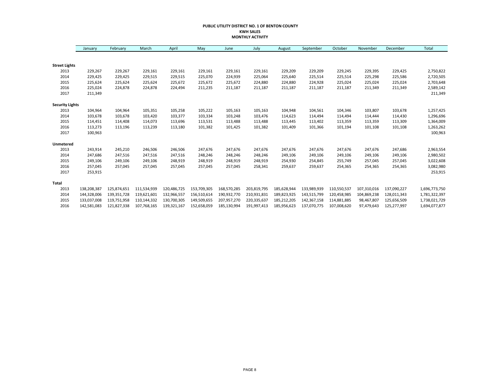#### **PUBLIC UTILITY DISTRICT NO. 1 OF BENTON COUNTY KWH SALES MONTHLY ACTIVITY**

|                        | January     | February    | March       | April       | May         | June        | July        | August      | September   | October     | November    | December    | Total         |
|------------------------|-------------|-------------|-------------|-------------|-------------|-------------|-------------|-------------|-------------|-------------|-------------|-------------|---------------|
|                        |             |             |             |             |             |             |             |             |             |             |             |             |               |
| <b>Street Lights</b>   |             |             |             |             |             |             |             |             |             |             |             |             |               |
| 2013                   | 229,267     | 229,267     | 229,161     | 229,161     | 229,161     | 229,161     | 229,161     | 229,209     | 229,209     | 229,245     | 229,395     | 229,425     | 2,750,822     |
| 2014                   | 229,425     | 229,425     | 229,515     | 229,515     | 225,070     | 224,939     | 225,064     | 225,640     | 225,514     | 225,514     | 225,298     | 225,586     | 2,720,505     |
| 2015                   | 225,624     | 225,624     | 225,624     | 225,672     | 225,672     | 225,672     | 224,880     | 224,880     | 224,928     | 225,024     | 225,024     | 225,024     | 2,703,648     |
| 2016                   | 225,024     | 224,878     | 224,878     | 224,494     | 211,235     | 211,187     | 211,187     | 211,187     | 211,187     | 211,187     | 211,349     | 211,349     | 2,589,142     |
| 2017                   | 211,349     |             |             |             |             |             |             |             |             |             |             |             | 211,349       |
| <b>Security Lights</b> |             |             |             |             |             |             |             |             |             |             |             |             |               |
| 2013                   | 104,964     | 104,964     | 105,351     | 105,258     | 105,222     | 105,163     | 105,163     | 104,948     | 104,561     | 104,346     | 103,807     | 103,678     | 1,257,425     |
| 2014                   | 103,678     | 103,678     | 103,420     | 103,377     | 103,334     | 103,248     | 103,476     | 114,623     | 114,494     | 114,494     | 114,444     | 114,430     | 1,296,696     |
| 2015                   | 114,451     | 114,408     | 114,073     | 113,696     | 113,531     | 113,488     | 113,488     | 113,445     | 113,402     | 113,359     | 113,359     | 113,309     | 1,364,009     |
| 2016                   | 113,273     | 113,196     | 113,239     | 113,180     | 101,382     | 101,425     | 101,382     | 101,409     | 101,366     | 101,194     | 101,108     | 101,108     | 1,263,262     |
| 2017                   | 100,963     |             |             |             |             |             |             |             |             |             |             |             | 100,963       |
| Unmetered              |             |             |             |             |             |             |             |             |             |             |             |             |               |
| 2013                   | 243,914     | 245,210     | 246,506     | 246,506     | 247,676     | 247,676     | 247,676     | 247,676     | 247,676     | 247,676     | 247,676     | 247,686     | 2,963,554     |
| 2014                   | 247,686     | 247,516     | 247,516     | 247,516     | 248,246     | 248,246     | 248,246     | 249,106     | 249,106     | 249,106     | 249,106     | 249,106     | 2,980,502     |
| 2015                   | 249,106     | 249,106     | 249,106     | 248,919     | 248,919     | 248,919     | 248,919     | 254,930     | 254,845     | 255,749     | 257,045     | 257,045     | 3,022,608     |
| 2016                   | 257,045     | 257,045     | 257,045     | 257,045     | 257,045     | 257,045     | 258,341     | 259,637     | 259,637     | 254,365     | 254,365     | 254,365     | 3,082,980     |
| 2017                   | 253,915     |             |             |             |             |             |             |             |             |             |             |             | 253,915       |
| <b>Total</b>           |             |             |             |             |             |             |             |             |             |             |             |             |               |
| 2013                   | 138,208,387 | 125,874,651 | 111,534,939 | 120,486,725 | 153,709,305 | 168,570,285 | 203,819,795 | 185,628,944 | 133,989,939 | 110,550,537 | 107,310,016 | 137,090,227 | 1,696,773,750 |
| 2014                   | 144,328,006 | 139,351,728 | 119,621,601 | 132,966,557 | 156,510,614 | 190,932,770 | 210,931,831 | 189,823,925 | 143,515,799 | 120,458,985 | 104,869,238 | 128,011,343 | 1,781,322,397 |
| 2015                   | 133,037,008 | 119,751,958 | 110,144,332 | 130,700,305 | 149,509,655 | 207,957,270 | 220,335,637 | 185,212,205 | 142,367,158 | 114,881,885 | 98,467,807  | 125,656,509 | 1,738,021,729 |
| 2016                   | 142,581,083 | 121,827,338 | 107,768,165 | 139,321,167 | 152,658,059 | 185,130,994 | 191,997,413 | 185,956,623 | 137,070,775 | 107,008,620 | 97,479,643  | 125,277,997 | 1,694,077,877 |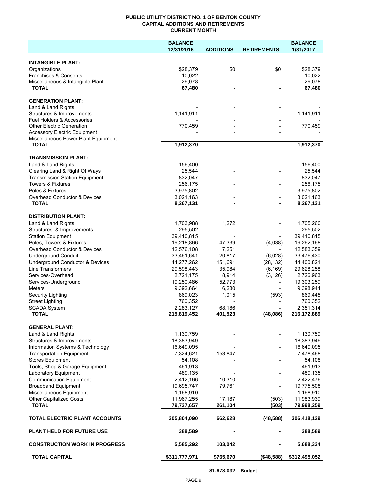#### **PUBLIC UTILITY DISTRICT NO. 1 OF BENTON COUNTY CAPITAL ADDITIONS AND RETIREMENTS CURRENT MONTH**

|                                                                        | <b>BALANCE</b>           |                          |                          | <b>BALANCE</b>           |
|------------------------------------------------------------------------|--------------------------|--------------------------|--------------------------|--------------------------|
|                                                                        | 12/31/2016               | <b>ADDITIONS</b>         | <b>RETIREMENTS</b>       | 1/31/2017                |
| <b>INTANGIBLE PLANT:</b>                                               |                          |                          |                          |                          |
| Organizations                                                          | \$28,379                 | \$0                      | \$0                      | \$28,379                 |
| Franchises & Consents                                                  | 10,022                   |                          |                          | 10,022                   |
| Miscellaneous & Intangible Plant                                       | 29,078                   | $\overline{\phantom{a}}$ | $\overline{\phantom{a}}$ | 29,078                   |
| <b>TOTAL</b>                                                           | 67,480                   | $\blacksquare$           |                          | 67,480                   |
| <b>GENERATION PLANT:</b>                                               |                          |                          |                          |                          |
| Land & Land Rights                                                     |                          |                          |                          |                          |
| Structures & Improvements                                              | 1,141,911                |                          |                          | 1,141,911                |
| <b>Fuel Holders &amp; Accessories</b>                                  |                          |                          |                          |                          |
| <b>Other Electric Generation</b>                                       | 770,459                  |                          |                          | 770,459                  |
| <b>Accessory Electric Equipment</b>                                    |                          | $\overline{\phantom{a}}$ |                          |                          |
| Miscellaneous Power Plant Equipment<br><b>TOTAL</b>                    | 1,912,370                | $\blacksquare$           |                          | 1,912,370                |
|                                                                        |                          |                          |                          |                          |
| <b>TRANSMISSION PLANT:</b>                                             |                          |                          |                          |                          |
| Land & Land Rights                                                     | 156,400                  |                          |                          | 156,400                  |
| Clearing Land & Right Of Ways<br><b>Transmission Station Equipment</b> | 25,544<br>832,047        |                          |                          | 25,544<br>832,047        |
| <b>Towers &amp; Fixtures</b>                                           | 256,175                  |                          |                          | 256,175                  |
| Poles & Fixtures                                                       | 3,975,802                |                          |                          | 3,975,802                |
| Overhead Conductor & Devices                                           | 3,021,163                |                          |                          | 3,021,163                |
| <b>TOTAL</b>                                                           | 8,267,131                |                          |                          | 8,267,131                |
|                                                                        |                          |                          |                          |                          |
| <b>DISTRIBUTION PLANT:</b>                                             |                          |                          |                          |                          |
| Land & Land Rights                                                     | 1,703,988                | 1,272                    |                          | 1,705,260                |
| Structures & Improvements<br><b>Station Equipment</b>                  | 295,502<br>39,410,815    |                          |                          | 295,502<br>39,410,815    |
| Poles, Towers & Fixtures                                               | 19,218,866               | 47,339                   | (4,038)                  | 19,262,168               |
| Overhead Conductor & Devices                                           | 12,576,108               | 7,251                    |                          | 12,583,359               |
| <b>Underground Conduit</b>                                             | 33,461,641               | 20,817                   | (6,028)                  | 33,476,430               |
| Underground Conductor & Devices                                        | 44,277,262               | 151,691                  | (28, 132)                | 44,400,821               |
| <b>Line Transformers</b>                                               | 29,598,443               | 35,984                   | (6, 169)                 | 29,628,258               |
| Services-Overhead                                                      | 2,721,175                | 8,914                    | (3, 126)                 | 2,726,963                |
| Services-Underground                                                   | 19,250,486               | 52,773                   |                          | 19,303,259               |
| Meters                                                                 | 9,392,664                | 6,280                    |                          | 9,398,944                |
| Security Lighting                                                      | 869,023                  | 1,015                    | (593)                    | 869,445                  |
| <b>Street Lighting</b>                                                 | 760,352                  |                          |                          | 760,352                  |
| <b>SCADA System</b><br><b>TOTAL</b>                                    | 2,283,127<br>215,819,452 | 68,186<br>401,523        | (48,086)                 | 2,351,314<br>216,172,889 |
|                                                                        |                          |                          |                          |                          |
| <b>GENERAL PLANT:</b>                                                  |                          |                          |                          |                          |
| Land & Land Rights                                                     | 1,130,759                |                          |                          | 1,130,759                |
| Structures & Improvements                                              | 18,383,949               |                          |                          | 18,383,949               |
| Information Systems & Technology                                       | 16,649,095               |                          |                          | 16,649,095               |
| <b>Transportation Equipment</b>                                        | 7,324,621                | 153,847                  |                          | 7,478,468                |
| <b>Stores Equipment</b>                                                | 54,108                   |                          |                          | 54,108                   |
| Tools, Shop & Garage Equipment                                         | 461,913                  |                          |                          | 461,913                  |
| Laboratory Equipment                                                   | 489,135                  |                          |                          | 489,135                  |
| <b>Communication Equipment</b>                                         | 2,412,166                | 10,310                   |                          | 2,422,476                |
| <b>Broadband Equipment</b>                                             | 19,695,747               | 79,761                   |                          | 19,775,508               |
| Miscellaneous Equipment                                                | 1,168,910                |                          |                          | 1,168,910                |
| <b>Other Capitalized Costs</b><br><b>TOTAL</b>                         | 11,967,255<br>79,737,657 | 17,187<br>261,104        | (503)<br>(503)           | 11,983,939<br>79,998,259 |
|                                                                        |                          |                          |                          |                          |
| TOTAL ELECTRIC PLANT ACCOUNTS                                          | 305,804,090              | 662,628                  | (48, 588)                | 306,418,129              |
| <b>PLANT HELD FOR FUTURE USE</b>                                       | 388,589                  |                          |                          | 388,589                  |
| <b>CONSTRUCTION WORK IN PROGRESS</b>                                   | 5,585,292                | 103,042                  |                          | 5,688,334                |
| <b>TOTAL CAPITAL</b>                                                   | \$311,777,971            | \$765,670                | ( \$48,588)              | \$312,495,052            |
|                                                                        |                          |                          |                          |                          |

**\$1,678,032 Budget**

 $\overline{\phantom{a}}$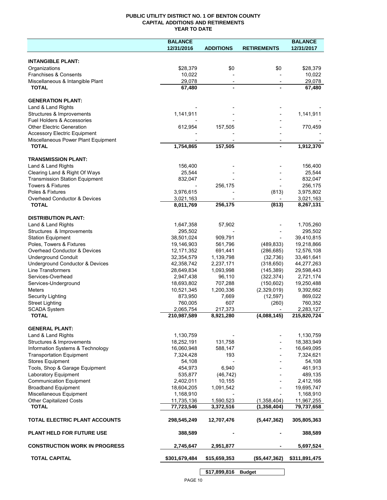#### **PUBLIC UTILITY DISTRICT NO. 1 OF BENTON COUNTY CAPITAL ADDITIONS AND RETIREMENTS YEAR TO DATE**

|                                                                       | <b>BALANCE</b>         |                  |                    | <b>BALANCE</b>         |
|-----------------------------------------------------------------------|------------------------|------------------|--------------------|------------------------|
|                                                                       | 12/31/2016             | <b>ADDITIONS</b> | <b>RETIREMENTS</b> | 12/31/2017             |
|                                                                       |                        |                  |                    |                        |
| <b>INTANGIBLE PLANT:</b>                                              |                        |                  |                    |                        |
| Organizations                                                         | \$28,379               | \$0              | \$0                | \$28,379               |
| Franchises & Consents                                                 | 10,022                 |                  |                    | 10,022                 |
| Miscellaneous & Intangible Plant                                      | 29,078                 |                  |                    | 29,078                 |
| <b>TOTAL</b>                                                          | 67,480                 |                  |                    | 67,480                 |
| <b>GENERATION PLANT:</b>                                              |                        |                  |                    |                        |
| Land & Land Rights                                                    |                        |                  |                    |                        |
| Structures & Improvements                                             | 1,141,911              |                  |                    | 1,141,911              |
| Fuel Holders & Accessories                                            |                        |                  |                    |                        |
| <b>Other Electric Generation</b>                                      | 612,954                | 157,505          |                    | 770,459                |
| <b>Accessory Electric Equipment</b>                                   |                        |                  |                    |                        |
| Miscellaneous Power Plant Equipment                                   |                        |                  |                    |                        |
| <b>TOTAL</b>                                                          | 1,754,865              | 157,505          | $\blacksquare$     | 1,912,370              |
|                                                                       |                        |                  |                    |                        |
| <b>TRANSMISSION PLANT:</b>                                            |                        |                  |                    |                        |
| Land & Land Rights                                                    | 156,400                |                  |                    | 156,400                |
| Clearing Land & Right Of Ways                                         | 25,544                 |                  |                    | 25,544                 |
| <b>Transmission Station Equipment</b><br><b>Towers &amp; Fixtures</b> | 832,047                |                  |                    | 832,047                |
|                                                                       |                        | 256,175          |                    | 256,175                |
| Poles & Fixtures                                                      | 3,976,615              |                  | (813)              | 3,975,802              |
| Overhead Conductor & Devices<br><b>TOTAL</b>                          | 3,021,163<br>8,011,769 | 256,175          | (813)              | 3,021,163<br>8,267,131 |
|                                                                       |                        |                  |                    |                        |
| <b>DISTRIBUTION PLANT:</b>                                            |                        |                  |                    |                        |
| Land & Land Rights                                                    | 1,647,358              | 57,902           |                    | 1,705,260              |
| Structures & Improvements                                             | 295,502                |                  |                    | 295,502                |
| <b>Station Equipment</b>                                              | 38,501,024             | 909,791          |                    | 39,410,815             |
| Poles, Towers & Fixtures                                              | 19,146,903             | 561,796          | (489, 833)         | 19,218,866             |
| Overhead Conductor & Devices                                          | 12,171,352             | 691,441          | (286, 685)         | 12,576,108             |
| <b>Underground Conduit</b>                                            | 32,354,579             | 1,139,798        | (32, 736)          | 33,461,641             |
| Underground Conductor & Devices                                       | 42,358,742             | 2,237,171        | (318, 650)         | 44,277,263             |
| Line Transformers                                                     | 28,649,834             | 1,093,998        | (145, 389)         | 29,598,443             |
| Services-Overhead                                                     | 2,947,438              | 96,110           | (322, 374)         | 2,721,174              |
| Services-Underground                                                  | 18,693,802             | 707,288          | (150, 602)         | 19,250,488             |
| <b>Meters</b>                                                         | 10,521,345             | 1,200,336        | (2,329,019)        | 9,392,662              |
| Security Lighting                                                     | 873,950                | 7,669            | (12, 597)          | 869,022                |
| <b>Street Lighting</b>                                                | 760,005                | 607              | (260)              | 760,352                |
| <b>SCADA System</b>                                                   | 2,065,754              | 217,373          |                    | 2,283,127              |
| <b>TOTAL</b>                                                          | 210,987,589            | 8,921,280        | (4,088,145)        | 215,820,724            |
| <b>GENERAL PLANT:</b>                                                 |                        |                  |                    |                        |
| Land & Land Rights                                                    | 1,130,759              |                  |                    | 1,130,759              |
| Structures & Improvements                                             | 18,252,191             | 131,758          |                    | 18,383,949             |
| Information Systems & Technology                                      | 16,060,948             | 588,147          |                    | 16,649,095             |
| <b>Transportation Equipment</b>                                       | 7,324,428              | 193              |                    | 7,324,621              |
| <b>Stores Equipment</b>                                               | 54,108                 |                  |                    | 54,108                 |
| Tools, Shop & Garage Equipment                                        | 454,973                | 6,940            |                    | 461,913                |
| Laboratory Equipment                                                  | 535,877                | (46, 742)        |                    | 489,135                |
| <b>Communication Equipment</b>                                        | 2,402,011              | 10,155           |                    | 2,412,166              |
| <b>Broadband Equipment</b>                                            | 18,604,205             | 1,091,542        |                    | 19,695,747             |
| Miscellaneous Equipment                                               | 1,168,910              |                  |                    | 1,168,910              |
| <b>Other Capitalized Costs</b>                                        | 11,735,136             | 1,590,523        | (1,358,404)        | 11,967,255             |
| <b>TOTAL</b>                                                          | 77,723,546             | 3,372,516        | (1,358,404)        | 79,737,658             |
| TOTAL ELECTRIC PLANT ACCOUNTS                                         | 298,545,249            | 12,707,476       | (5,447,362)        | 305,805,363            |
| <b>PLANT HELD FOR FUTURE USE</b>                                      | 388,589                |                  |                    | 388,589                |
| <b>CONSTRUCTION WORK IN PROGRESS</b>                                  | 2,745,647              | 2,951,877        |                    | 5,697,524              |
| <b>TOTAL CAPITAL</b>                                                  | \$301,679,484          | \$15,659,353     | (\$5,447,362)      | \$311,891,475          |
|                                                                       |                        |                  |                    |                        |

**\$17,899,816 Budget**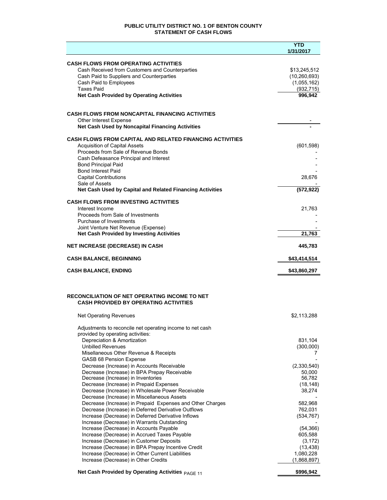#### **PUBLIC UTILITY DISTRICT NO. 1 OF BENTON COUNTY STATEMENT OF CASH FLOWS**

|                                                                                              | YTD<br>1/31/2017               |
|----------------------------------------------------------------------------------------------|--------------------------------|
|                                                                                              |                                |
| <b>CASH FLOWS FROM OPERATING ACTIVITIES</b>                                                  |                                |
| Cash Received from Customers and Counterparties<br>Cash Paid to Suppliers and Counterparties | \$13,245,512<br>(10, 260, 693) |
| Cash Paid to Employees                                                                       | (1,055,162)                    |
| <b>Taxes Paid</b>                                                                            | (932, 715)                     |
| <b>Net Cash Provided by Operating Activities</b>                                             | 996,942                        |
|                                                                                              |                                |
| <b>CASH FLOWS FROM NONCAPITAL FINANCING ACTIVITIES</b>                                       |                                |
| Other Interest Expense                                                                       |                                |
| <b>Net Cash Used by Noncapital Financing Activities</b>                                      |                                |
| <b>CASH FLOWS FROM CAPITAL AND RELATED FINANCING ACTIVITIES</b>                              |                                |
| <b>Acquisition of Capital Assets</b>                                                         | (601, 598)                     |
| Proceeds from Sale of Revenue Bonds                                                          |                                |
| Cash Defeasance Principal and Interest                                                       |                                |
| <b>Bond Principal Paid</b><br><b>Bond Interest Paid</b>                                      |                                |
| <b>Capital Contributions</b>                                                                 | 28,676                         |
| Sale of Assets                                                                               |                                |
| Net Cash Used by Capital and Related Financing Activities                                    | (572, 922)                     |
| <b>CASH FLOWS FROM INVESTING ACTIVITIES</b>                                                  |                                |
| Interest Income                                                                              | 21,763                         |
| Proceeds from Sale of Investments                                                            |                                |
| Purchase of Investments                                                                      |                                |
| Joint Venture Net Revenue (Expense)                                                          |                                |
| <b>Net Cash Provided by Investing Activities</b>                                             | 21,763                         |
| <b>NET INCREASE (DECREASE) IN CASH</b>                                                       | 445,783                        |
| <b>CASH BALANCE, BEGINNING</b>                                                               | \$43,414,514                   |
| <b>CASH BALANCE, ENDING</b>                                                                  | \$43,860,297                   |
|                                                                                              |                                |
|                                                                                              |                                |
| <b>RECONCILIATION OF NET OPERATING INCOME TO NET</b>                                         |                                |
| <b>CASH PROVIDED BY OPERATING ACTIVITIES</b>                                                 |                                |
| <b>Net Operating Revenues</b>                                                                | \$2,113,288                    |
| Adjustments to reconcile net operating income to net cash                                    |                                |
| provided by operating activities:                                                            |                                |
| Depreciation & Amortization                                                                  | 831,104                        |
| <b>Unbilled Revenues</b>                                                                     | (300,000)                      |
| Misellaneous Other Revenue & Receipts                                                        | 7                              |
| GASB 68 Pension Expense                                                                      |                                |
| Decrease (Increase) in Accounts Receivable                                                   | (2,330,540)                    |
| Decrease (Increase) in BPA Prepay Receivable<br>Decrease (Increase) in Inventories           | 50,000<br>56,782               |
| Decrease (Increase) in Prepaid Expenses                                                      | (18, 148)                      |
| Decrease (Increase) in Wholesale Power Receivable                                            | 38,274                         |
| Decrease (Increase) in Miscellaneous Assets                                                  |                                |
| Decrease (Increase) in Prepaid Expenses and Other Charges                                    | 582,968                        |
| Decrease (Increase) in Deferred Derivative Outflows                                          | 762,031                        |
| Increase (Decrease) in Deferred Derivative Inflows                                           | (534, 767)                     |
| Increase (Decrease) in Warrants Outstanding<br>Increase (Decrease) in Accounts Payable       | (54, 366)                      |
| Increase (Decrease) in Accrued Taxes Payable                                                 | 605,588                        |
| Increase (Decrease) in Customer Deposits                                                     | (3, 172)                       |
| Increase (Decrease) in BPA Prepay Incentive Credit                                           | (13, 438)                      |
| Increase (Decrease) in Other Current Liabilities                                             | 1,080,228                      |
| Increase (Decrease) in Other Credits                                                         | (1,868,897)                    |
| Net Cash Provided by Operating Activities PAGE 11                                            | \$996,942                      |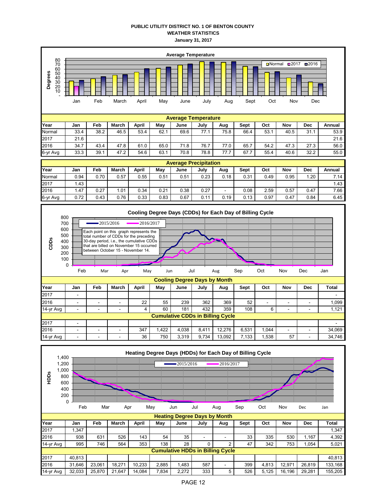#### **PUBLIC UTILITY DISTRICT NO. 1 OF BENTON COUNTY WEATHER STATISTICS January 31, 2017**



|                                         | ັ<br>Feb                 | Mar                      | Apr   | May   | Jun   | Jul   |       | Aug    | Sep   | Oct   | Nov      | Dec        | Jan          |
|-----------------------------------------|--------------------------|--------------------------|-------|-------|-------|-------|-------|--------|-------|-------|----------|------------|--------------|
| <b>Cooling Degree Days by Month</b>     |                          |                          |       |       |       |       |       |        |       |       |          |            |              |
| Year                                    | Jan                      | Feb                      | March | April | May   | June  | July  | Aug    | Sept  | Oct   | Nov      | <b>Dec</b> | <b>Total</b> |
| 2017                                    | $\overline{\phantom{0}}$ |                          |       |       |       |       |       |        |       |       |          |            | -            |
| 2016                                    | -                        |                          | -     | 22    | 55    | 239   | 362   | 369    | 52    | -     |          |            | 1.099        |
| 14-yr Avg                               | $\overline{\phantom{0}}$ | $\overline{\phantom{0}}$ | -     | 4     | 60    | 181   | 432   | 359    | 108   | 6     | <b>-</b> |            | 1,121        |
| <b>Cumulative CDDs in Billing Cycle</b> |                          |                          |       |       |       |       |       |        |       |       |          |            |              |
| 2017                                    |                          |                          |       |       |       |       |       |        |       |       |          |            |              |
| 2016                                    | $\sim$                   | -                        | -     | 347   | 1,422 | 4,038 | 8,411 | 12.276 | 6.531 | 1.044 | ٠        |            | 34,069       |
| 14-yr Avg                               | ۰                        | -                        | -     | 36    | 750   | 3.319 | 9.734 | 13,092 | 7.133 | .538  | 57       | ۰          | 34,746       |

| 1,400<br>1,200<br>1,000<br>HDDS         | 800<br>600<br>400<br>200<br>0 |        |        |        |       | $-2015/2016$ |                                     | Heating Degree Days (HDDs) for Each Day of Billing Cycle<br>2016/2017 |      |       |        |            |         |
|-----------------------------------------|-------------------------------|--------|--------|--------|-------|--------------|-------------------------------------|-----------------------------------------------------------------------|------|-------|--------|------------|---------|
|                                         | Feb                           | Mar    | Apr    |        | May   | Jun          | Jul                                 | Aug                                                                   | Sep  | Oct   | Nov    | Dec        | Jan     |
|                                         |                               |        |        |        |       |              | <b>Heating Degree Days by Month</b> |                                                                       |      |       |        |            |         |
| Year                                    | Jan                           | Feb    | March  | April  | May   | June         | July                                | Aug                                                                   | Sept | Oct   | Nov    | <b>Dec</b> | Total   |
| 2017                                    | 1,347                         |        |        |        |       |              |                                     |                                                                       |      |       |        |            | 1,347   |
| 2016                                    | 938                           | 631    | 526    | 143    | 54    | 35           | ٠                                   |                                                                       | 33   | 335   | 530    | 1,167      | 4,392   |
| 14-yr Avg                               | 995                           | 746    | 564    | 353    | 138   | 28           | 0                                   | $\overline{2}$                                                        | 47   | 342   | 753    | 1,054      | 5,021   |
| <b>Cumulative HDDs in Billing Cycle</b> |                               |        |        |        |       |              |                                     |                                                                       |      |       |        |            |         |
| 2017                                    | 40,813                        |        |        |        |       |              |                                     |                                                                       |      |       |        |            | 40,813  |
| 2016                                    | 31,646                        | 23,061 | 18,271 | 10,233 | 2,885 | 1,483        | 587                                 | ٠                                                                     | 399  | 4,813 | 12,971 | 26,819     | 133,168 |
| 14-yr Avg                               | 32,033                        | 25,870 | 21,647 | 14,084 | 7,834 | 2,272        | 333                                 | 5                                                                     | 526  | 5,125 | 16,196 | 29,281     | 155,205 |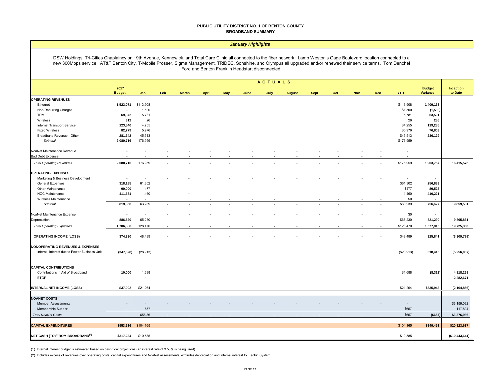#### **PUBLIC UTILITY DISTRICT NO. 1 OF BENTON COUNTY BROADBAND SUMMARY**

#### *January Highlights*

DSW Holdings, Tri-Cities Chaplaincy on 19th Avenue, Kennewick, and Total Care Clinic all connected to the fiber network. Lamb Weston's Gage Boulevard location connected to a new 300Mbps service. AT&T Benton City, T-Mobile Prosser, Sigma Management, TRIDEC, Sonshine, and Olympus all upgraded and/or renewed their service terms. Tom Denchel Ford and Benton Franklin Headstart disconnected.

|                                                             | ACTUALS                  |           |                |              |                |                |                |                |                |             |                          |                          |            |                          |                           |                      |
|-------------------------------------------------------------|--------------------------|-----------|----------------|--------------|----------------|----------------|----------------|----------------|----------------|-------------|--------------------------|--------------------------|------------|--------------------------|---------------------------|----------------------|
|                                                             | 2017<br><b>Budget</b>    | Jan       | Feb            | <b>March</b> | <b>April</b>   | May            | June           | July           | <b>August</b>  | <b>Sept</b> | Oct                      | <b>Nov</b>               | <b>Dec</b> | <b>YTD</b>               | <b>Budget</b><br>Variance | Inception<br>to Date |
| <b>OPERATING REVENUES</b>                                   |                          |           |                |              |                |                |                |                |                |             |                          |                          |            |                          |                           |                      |
| Ethernet                                                    | 1,523,071                | \$113,908 |                |              |                |                |                |                |                |             |                          |                          |            | \$113,908                | 1,409,163                 |                      |
| Non-Recurring Charges                                       | $\sim$                   | 1,500     |                |              |                |                |                |                |                |             |                          |                          |            | \$1,500                  | (1,500)                   |                      |
| <b>TDM</b>                                                  | 69,372                   | 5,781     |                |              |                |                |                |                |                |             |                          |                          |            | 5,781                    | 63,591                    |                      |
| Wireless                                                    | 312                      | 26        |                |              |                |                |                |                |                |             |                          |                          |            | 26                       | 286                       |                      |
| Internet Transport Service                                  | 123,540                  | 4,255     |                |              |                |                |                |                |                |             |                          |                          |            | \$4,255                  | 119,285                   |                      |
| <b>Fixed Wireless</b>                                       | 82,779                   | 5,976     |                |              |                |                |                |                |                |             |                          |                          |            | \$5,976                  | 76,803                    |                      |
| Broadband Revenue - Other                                   | 281,642                  | 45,513    |                |              |                |                |                |                |                |             |                          |                          |            | \$45,513                 | 236,129                   |                      |
| Subtotal                                                    | 2,080,716                | 176,959   | $\overline{a}$ |              | $\overline{a}$ | $\sim$         | $\overline{a}$ | ٠              | $\overline{a}$ |             | $\overline{\phantom{a}}$ | $\sim$                   |            | \$176,959                |                           |                      |
| NoaNet Maintenance Revenue                                  | $\sim$                   |           |                |              |                |                |                |                |                |             |                          |                          |            | $\overline{\phantom{a}}$ |                           |                      |
| <b>Bad Debt Expense</b>                                     |                          |           |                |              |                |                |                |                |                |             |                          |                          |            | $\overline{\phantom{a}}$ |                           |                      |
| <b>Total Operating Revenues</b>                             | 2,080,716                | 176,959   |                |              |                |                |                |                |                |             |                          |                          |            | \$176,959                | 1,903,757                 | 16,415,575           |
| <b>OPERATING EXPENSES</b>                                   |                          |           |                |              |                |                |                |                |                |             |                          |                          |            |                          |                           |                      |
| Marketing & Business Development                            | $\overline{\phantom{a}}$ |           |                |              |                |                |                |                |                |             |                          |                          |            | $\sim$                   | $\sim$                    |                      |
| General Expenses                                            | 318,185                  | 61,302    |                |              |                |                |                |                |                |             |                          |                          |            | \$61,302                 | 256,883                   |                      |
| Other Maintenance                                           | 90,000                   | 477       |                |              |                |                |                |                |                |             |                          |                          |            | \$477                    | 89,523                    |                      |
| NOC Maintenance                                             | 411,681                  | 1,460     |                |              |                |                |                |                |                |             |                          |                          |            | 1,460                    | 410,221                   |                      |
| Wireless Maintenance                                        |                          |           |                |              |                |                |                |                |                |             |                          |                          |            | \$0                      |                           |                      |
| Subtotal                                                    | 819,866                  | 63,239    | ۰              |              |                |                |                |                |                |             |                          |                          |            | \$63,239                 | 756,627                   | 9,859,531            |
| NoaNet Maintenance Expense                                  | $\sim$                   | $\sim$    |                |              |                |                |                |                |                |             |                          |                          |            | \$0                      | $\sim$                    |                      |
| Depreciation                                                | 886,520                  | 65,230    |                |              |                |                |                |                |                |             |                          |                          |            | \$65,230                 | 821,290                   | 9,865,831            |
| <b>Total Operating Expenses</b>                             | 1,706,386                | 128,470   | $\sim$         |              | $\overline{a}$ | $\overline{a}$ | ٠              | $\overline{a}$ | $\sim$         |             | $\sim$                   | $\overline{\phantom{a}}$ | $\sim$     | \$128,470                | 1,577,916                 | 19,725,363           |
| <b>OPERATING INCOME (LOSS)</b>                              | 374,330                  | 48,489    |                |              |                |                |                |                |                |             |                          |                          |            | \$48,489                 | 325,841                   | (3,309,788)          |
| <b>NONOPERATING REVENUES &amp; EXPENSES</b>                 |                          |           |                |              |                |                |                |                |                |             |                          |                          |            |                          |                           |                      |
| Internal Interest due to Power Business Unit <sup>(1)</sup> | (347, 328)               | (28, 913) |                |              |                |                |                |                |                |             |                          |                          |            | (\$28,913)               | 318,415                   | (5,956,007)          |
| <b>CAPITAL CONTRIBUTIONS</b>                                |                          |           |                |              |                |                |                |                |                |             |                          |                          |            |                          |                           |                      |
| Contributions in Aid of Broadband                           | 10,000                   | 1,688     |                |              |                |                |                |                |                |             |                          |                          |            | \$1,688                  | (8,313)                   | 4,818,268            |
| <b>BTOP</b>                                                 | $\sim$                   | ÷.        |                |              |                |                |                |                |                |             |                          |                          |            |                          | $\sim$                    | 2,282,671            |
|                                                             |                          |           |                |              |                |                |                |                |                |             |                          |                          |            |                          |                           |                      |
| INTERNAL NET INCOME (LOSS)                                  | \$37,002                 | \$21,264  |                |              |                |                |                |                |                |             |                          |                          |            | \$21,264                 | \$635,943                 | (2, 164, 856)        |
| <b>NOANET COSTS</b>                                         |                          |           |                |              |                |                |                |                |                |             |                          |                          |            |                          |                           |                      |
| <b>Member Assessments</b>                                   |                          |           |                |              |                |                |                |                |                |             |                          |                          |            | $\overline{\phantom{a}}$ |                           | \$3,159,092          |
| Membership Support                                          | $\sim$                   | 657       |                |              |                |                |                |                |                |             |                          |                          |            | \$657                    |                           | 117,894              |
| <b>Total NoaNet Costs</b>                                   | $\sim$                   | 656.86    |                |              |                |                |                |                |                |             |                          |                          |            | \$657                    | (\$657)                   | \$3,276,986          |
| <b>CAPITAL EXPENDITURES</b>                                 | \$953,616                | \$104,165 |                |              |                |                |                |                |                |             |                          |                          |            | \$104,165                | \$849,451                 | \$20,823,637         |
| NET CASH (TO)/FROM BROADBAND <sup>(2)</sup>                 | \$317,234                | \$10,585  |                |              |                |                |                |                |                |             |                          |                          |            | \$10,585                 |                           | (\$10,443,641)       |
|                                                             |                          |           |                |              |                |                |                |                |                |             |                          |                          |            |                          |                           |                      |

(1) Internal interest budget is estimated based on cash flow projections (an interest rate of 3.53% is being used).

(2) Includes excess of revenues over operating costs, capital expenditures and NoaNet assessments; excludes depreciation and internal interest to Electric System